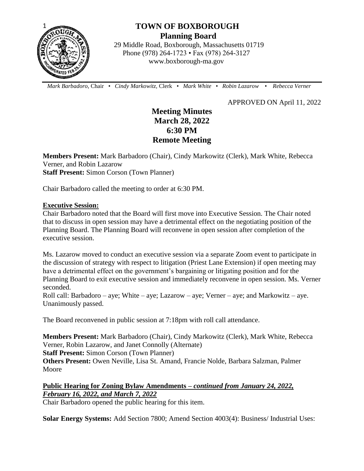

# **TOWN OF BOXBOROUGH Planning Board**

 29 Middle Road, Boxborough, Massachusetts 01719 Phone (978) 264-1723 • Fax (978) 264-3127 www.boxborough-ma.gov

 *Mark Barbadoro*, Chair • *Cindy Markowitz,* Clerk • *Mark White* • *Robin Lazarow* • *Rebecca Verner*

APPROVED ON April 11, 2022

# **Meeting Minutes March 28, 2022 6:30 PM Remote Meeting**

**Members Present:** Mark Barbadoro (Chair), Cindy Markowitz (Clerk), Mark White, Rebecca Verner, and Robin Lazarow **Staff Present:** Simon Corson (Town Planner)

Chair Barbadoro called the meeting to order at 6:30 PM.

#### **Executive Session:**

Chair Barbadoro noted that the Board will first move into Executive Session. The Chair noted that to discuss in open session may have a detrimental effect on the negotiating position of the Planning Board. The Planning Board will reconvene in open session after completion of the executive session.

Ms. Lazarow moved to conduct an executive session via a separate Zoom event to participate in the discussion of strategy with respect to litigation (Priest Lane Extension) if open meeting may have a detrimental effect on the government's bargaining or litigating position and for the Planning Board to exit executive session and immediately reconvene in open session. Ms. Verner seconded.

Roll call: Barbadoro – aye; White – aye; Lazarow – aye; Verner – aye; and Markowitz – aye. Unanimously passed.

The Board reconvened in public session at 7:18pm with roll call attendance.

**Members Present:** Mark Barbadoro (Chair), Cindy Markowitz (Clerk), Mark White, Rebecca Verner, Robin Lazarow, and Janet Connolly (Alternate)

**Staff Present:** Simon Corson (Town Planner)

**Others Present:** Owen Neville, Lisa St. Amand, Francie Nolde, Barbara Salzman, Palmer Moore

## **Public Hearing for Zoning Bylaw Amendments –** *continued from January 24, 2022, February 16, 2022, and March 7, 2022*

Chair Barbadoro opened the public hearing for this item.

**Solar Energy Systems:** Add Section 7800; Amend Section 4003(4): Business/ Industrial Uses: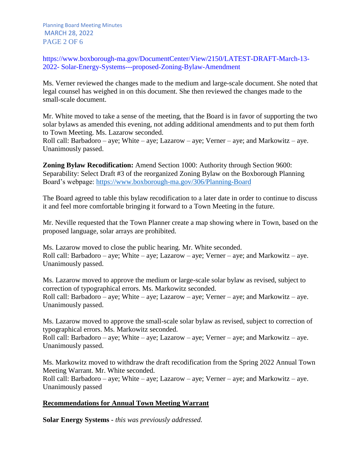Planning Board Meeting Minutes MARCH 28, 2022 PAGE 2 OF 6

https://www.boxborough-ma.gov/DocumentCenter/View/2150/LATEST-DRAFT-March-13- 2022- Solar-Energy-Systems---proposed-Zoning-Bylaw-Amendment

Ms. Verner reviewed the changes made to the medium and large-scale document. She noted that legal counsel has weighed in on this document. She then reviewed the changes made to the small-scale document.

Mr. White moved to take a sense of the meeting, that the Board is in favor of supporting the two solar bylaws as amended this evening, not adding additional amendments and to put them forth to Town Meeting. Ms. Lazarow seconded.

Roll call: Barbadoro – aye; White – aye; Lazarow – aye; Verner – aye; and Markowitz – aye. Unanimously passed.

**Zoning Bylaw Recodification:** Amend Section 1000: Authority through Section 9600: Separability: Select Draft #3 of the reorganized Zoning Bylaw on the Boxborough Planning Board's webpage:<https://www.boxborough-ma.gov/306/Planning-Board>

The Board agreed to table this bylaw recodification to a later date in order to continue to discuss it and feel more comfortable bringing it forward to a Town Meeting in the future.

Mr. Neville requested that the Town Planner create a map showing where in Town, based on the proposed language, solar arrays are prohibited.

Ms. Lazarow moved to close the public hearing. Mr. White seconded. Roll call: Barbadoro – aye; White – aye; Lazarow – aye; Verner – aye; and Markowitz – aye. Unanimously passed.

Ms. Lazarow moved to approve the medium or large-scale solar bylaw as revised, subject to correction of typographical errors. Ms. Markowitz seconded. Roll call: Barbadoro – aye; White – aye; Lazarow – aye; Verner – aye; and Markowitz – aye. Unanimously passed.

Ms. Lazarow moved to approve the small-scale solar bylaw as revised, subject to correction of typographical errors. Ms. Markowitz seconded.

Roll call: Barbadoro – aye; White – aye; Lazarow – aye; Verner – aye; and Markowitz – aye. Unanimously passed.

Ms. Markowitz moved to withdraw the draft recodification from the Spring 2022 Annual Town Meeting Warrant. Mr. White seconded. Roll call: Barbadoro – aye; White – aye; Lazarow – aye; Verner – aye; and Markowitz – aye. Unanimously passed

#### **Recommendations for Annual Town Meeting Warrant**

**Solar Energy Systems -** *this was previously addressed.*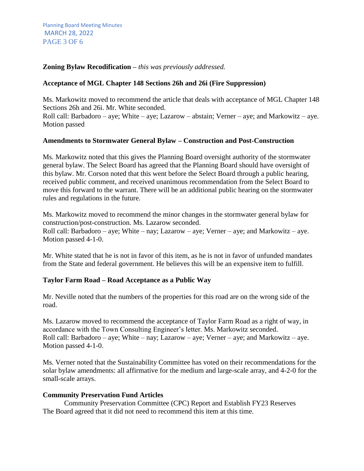#### **Zoning Bylaw Recodification –** *this was previously addressed.*

#### **Acceptance of MGL Chapter 148 Sections 26h and 26i (Fire Suppression)**

Ms. Markowitz moved to recommend the article that deals with acceptance of MGL Chapter 148 Sections 26h and 26i. Mr. White seconded.

Roll call: Barbadoro – aye; White – aye; Lazarow – abstain; Verner – aye; and Markowitz – aye. Motion passed

#### **Amendments to Stormwater General Bylaw – Construction and Post-Construction**

Ms. Markowitz noted that this gives the Planning Board oversight authority of the stormwater general bylaw. The Select Board has agreed that the Planning Board should have oversight of this bylaw. Mr. Corson noted that this went before the Select Board through a public hearing, received public comment, and received unanimous recommendation from the Select Board to move this forward to the warrant. There will be an additional public hearing on the stormwater rules and regulations in the future.

Ms. Markowitz moved to recommend the minor changes in the stormwater general bylaw for construction/post-construction. Ms. Lazarow seconded. Roll call: Barbadoro – aye; White – nay; Lazarow – aye; Verner – aye; and Markowitz – aye. Motion passed 4-1-0.

Mr. White stated that he is not in favor of this item, as he is not in favor of unfunded mandates from the State and federal government. He believes this will be an expensive item to fulfill.

#### **Taylor Farm Road – Road Acceptance as a Public Way**

Mr. Neville noted that the numbers of the properties for this road are on the wrong side of the road.

Ms. Lazarow moved to recommend the acceptance of Taylor Farm Road as a right of way, in accordance with the Town Consulting Engineer's letter. Ms. Markowitz seconded. Roll call: Barbadoro – aye; White – nay; Lazarow – aye; Verner – aye; and Markowitz – aye. Motion passed 4-1-0.

Ms. Verner noted that the Sustainability Committee has voted on their recommendations for the solar bylaw amendments: all affirmative for the medium and large-scale array, and 4-2-0 for the small-scale arrays.

#### **Community Preservation Fund Articles**

Community Preservation Committee (CPC) Report and Establish FY23 Reserves The Board agreed that it did not need to recommend this item at this time.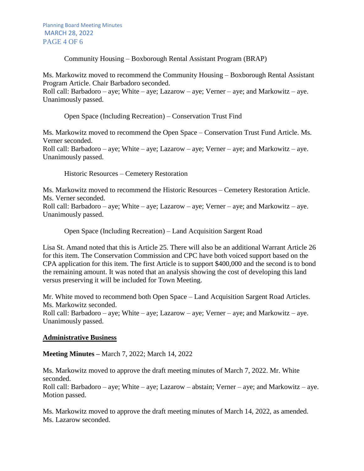Community Housing – Boxborough Rental Assistant Program (BRAP)

Ms. Markowitz moved to recommend the Community Housing – Boxborough Rental Assistant Program Article. Chair Barbadoro seconded.

Roll call: Barbadoro – aye; White – aye; Lazarow – aye; Verner – aye; and Markowitz – aye. Unanimously passed.

Open Space (Including Recreation) – Conservation Trust Find

Ms. Markowitz moved to recommend the Open Space – Conservation Trust Fund Article. Ms. Verner seconded. Roll call: Barbadoro – aye; White – aye; Lazarow – aye; Verner – aye; and Markowitz – aye. Unanimously passed.

Historic Resources – Cemetery Restoration

Ms. Markowitz moved to recommend the Historic Resources – Cemetery Restoration Article. Ms. Verner seconded.

Roll call: Barbadoro – aye; White – aye; Lazarow – aye; Verner – aye; and Markowitz – aye. Unanimously passed.

Open Space (Including Recreation) – Land Acquisition Sargent Road

Lisa St. Amand noted that this is Article 25. There will also be an additional Warrant Article 26 for this item. The Conservation Commission and CPC have both voiced support based on the CPA application for this item. The first Article is to support \$400,000 and the second is to bond the remaining amount. It was noted that an analysis showing the cost of developing this land versus preserving it will be included for Town Meeting.

Mr. White moved to recommend both Open Space – Land Acquisition Sargent Road Articles. Ms. Markowitz seconded.

Roll call: Barbadoro – aye; White – aye; Lazarow – aye; Verner – aye; and Markowitz – aye. Unanimously passed.

### **Administrative Business**

**Meeting Minutes –** March 7, 2022; March 14, 2022

Ms. Markowitz moved to approve the draft meeting minutes of March 7, 2022. Mr. White seconded.

Roll call: Barbadoro – aye; White – aye; Lazarow – abstain; Verner – aye; and Markowitz – aye. Motion passed.

Ms. Markowitz moved to approve the draft meeting minutes of March 14, 2022, as amended. Ms. Lazarow seconded.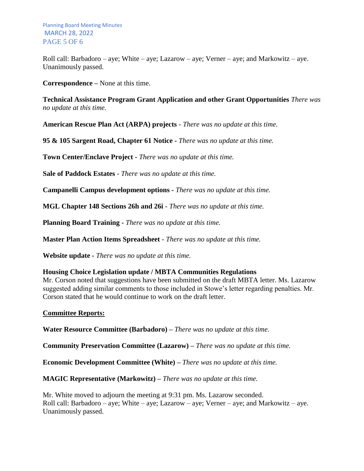Roll call: Barbadoro – aye; White – aye; Lazarow – aye; Verner – aye; and Markowitz – aye. Unanimously passed.

**Correspondence –** None at this time.

**Technical Assistance Program Grant Application and other Grant Opportunities** *There was no update at this time.*

**American Rescue Plan Act (ARPA) projects** *- There was no update at this time.*

**95 & 105 Sargent Road, Chapter 61 Notice -** *There was no update at this time.*

**Town Center/Enclave Project -** *There was no update at this time.*

**Sale of Paddock Estates** *- There was no update at this time.*

**Campanelli Campus development options -** *There was no update at this time.*

**MGL Chapter 148 Sections 26h and 26i** - *There was no update at this time.*

**Planning Board Training -** *There was no update at this time.*

**Master Plan Action Items Spreadsheet** - *There was no update at this time.*

**Website update** *- There was no update at this time.*

#### **Housing Choice Legislation update / MBTA Communities Regulations**

Mr. Corson noted that suggestions have been submitted on the draft MBTA letter. Ms. Lazarow suggested adding similar comments to those included in Stowe's letter regarding penalties. Mr. Corson stated that he would continue to work on the draft letter.

#### **Committee Reports:**

**Water Resource Committee (Barbadoro) –** *There was no update at this time.*

**Community Preservation Committee (Lazarow) –** *There was no update at this time.*

**Economic Development Committee (White) –** *There was no update at this time.*

**MAGIC Representative (Markowitz) –** *There was no update at this time.*

Mr. White moved to adjourn the meeting at 9:31 pm. Ms. Lazarow seconded. Roll call: Barbadoro – aye; White – aye; Lazarow – aye; Verner – aye; and Markowitz – aye. Unanimously passed.